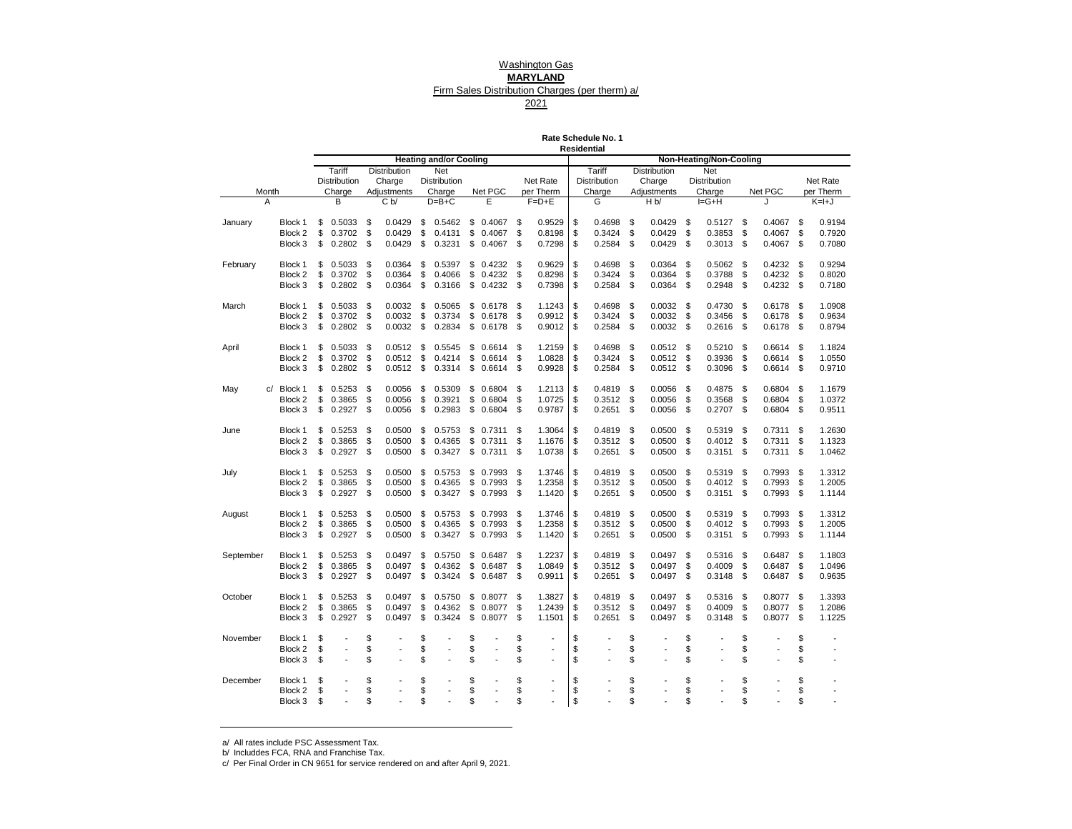# Washington Gas

# **MARYLAND**

## Firm Sales Distribution Charges (per therm) a/

2021

**Rate Schedule No. 1 Residential**

|           |         |                     |                                | <b>Heating and/or Cooling</b> |                      |    |                          | Residential         |    |              |     | Non-Heating/Non-Cooling |      |         |              |
|-----------|---------|---------------------|--------------------------------|-------------------------------|----------------------|----|--------------------------|---------------------|----|--------------|-----|-------------------------|------|---------|--------------|
|           |         | Tariff              | Distribution                   | Net                           |                      |    |                          | Tariff              |    | Distribution |     | Net                     |      |         |              |
|           |         | <b>Distribution</b> | Charge                         | <b>Distribution</b>           |                      |    | Net Rate                 | <b>Distribution</b> |    | Charge       |     | Distribution            |      |         | Net Rate     |
| Month     |         | Charge              | Adjustments                    | Charge                        | Net PGC              |    | per Therm                | Charge              |    | Adjustments  |     | Charge                  |      | Net PGC | per Therm    |
| A         |         | В                   | C <sub>b</sub>                 | $D=B+C$                       | Е                    |    | $F = D + E$              | G                   |    | H b          |     | $I = G + H$             |      | .1      | $K=H+J$      |
|           |         |                     |                                |                               |                      |    |                          |                     |    |              |     |                         |      |         |              |
| January   | Block 1 | \$<br>0.5033        | \$<br>0.0429                   | \$<br>0.5462                  | \$<br>0.4067         | \$ | 0.9529                   | \$<br>0.4698        | \$ | 0.0429       | \$  | 0.5127                  | \$   | 0.4067  | \$<br>0.9194 |
|           | Block 2 | \$<br>0.3702        | \$<br>0.0429                   | \$<br>0.4131                  | \$<br>0.4067         | \$ | 0.8198                   | \$<br>0.3424        | \$ | 0.0429       | \$  | 0.3853                  | \$   | 0.4067  | \$<br>0.7920 |
|           | Block 3 | \$<br>0.2802        | \$<br>0.0429                   | \$<br>0.3231                  | \$<br>0.4067         | S  | 0.7298                   | \$<br>0.2584        | \$ | 0.0429       | \$  | 0.3013                  | \$   | 0.4067  | \$<br>0.7080 |
|           |         |                     |                                |                               |                      |    |                          |                     |    |              |     |                         |      |         |              |
| February  | Block 1 | \$<br>0.5033        | \$<br>0.0364                   | \$<br>0.5397                  | \$<br>0.4232         | \$ | 0.9629                   | \$<br>0.4698        | \$ | 0.0364       | \$  | 0.5062                  | \$   | 0.4232  | \$<br>0.9294 |
|           | Block 2 | \$<br>0.3702        | \$<br>0.0364                   | \$<br>0.4066                  | \$<br>0.4232         | \$ | 0.8298                   | \$<br>0.3424        | \$ | 0.0364       | \$  | 0.3788                  | \$   | 0.4232  | \$<br>0.8020 |
|           | Block 3 | \$<br>0.2802        | \$<br>0.0364                   | \$<br>0.3166                  | \$<br>0.4232         | \$ | 0.7398                   | \$<br>0.2584        | \$ | 0.0364       | \$  | 0.2948                  | \$   | 0.4232  | \$<br>0.7180 |
|           |         |                     |                                |                               |                      |    |                          |                     |    |              |     |                         |      |         |              |
| March     | Block 1 | \$<br>0.5033        | \$<br>0.0032                   | \$<br>0.5065                  | \$<br>0.6178         | \$ | 1.1243                   | \$<br>0.4698        | \$ | 0.0032       | \$  | 0.4730                  | \$   | 0.6178  | \$<br>1.0908 |
|           | Block 2 | \$<br>0.3702        | \$<br>0.0032                   | \$<br>0.3734                  | \$<br>0.6178         | \$ | 0.9912                   | \$<br>0.3424        | \$ | 0.0032       | \$  | 0.3456                  | \$   | 0.6178  | \$<br>0.9634 |
|           | Block 3 | \$<br>0.2802        | \$<br>0.0032                   | \$<br>0.2834                  | \$<br>0.6178         | S  | 0.9012                   | \$<br>0.2584        | \$ | 0.0032       | \$  | 0.2616                  | \$   | 0.6178  | \$<br>0.8794 |
|           |         |                     |                                |                               |                      |    |                          |                     |    |              |     |                         |      |         |              |
| April     | Block 1 | \$<br>0.5033        | \$<br>0.0512                   | \$<br>0.5545                  | \$<br>0.6614         | \$ | 1.2159                   | \$<br>0.4698        | \$ | 0.0512       | \$  | 0.5210                  | \$   | 0.6614  | \$<br>1.1824 |
|           | Block 2 | \$<br>0.3702        | \$<br>0.0512                   | \$<br>0.4214                  | \$<br>0.6614         | \$ | 1.0828                   | \$<br>0.3424        | \$ | 0.0512       | \$  | 0.3936                  | \$   | 0.6614  | \$<br>1.0550 |
|           | Block 3 | \$<br>0.2802        | \$<br>0.0512                   | \$<br>0.3314                  | \$<br>0.6614         | \$ | 0.9928                   | \$<br>0.2584        | \$ | 0.0512       | -\$ | 0.3096                  | \$   | 0.6614  | \$<br>0.9710 |
| c/        | Block 1 | \$<br>0.5253        | \$<br>0.0056                   | \$<br>0.5309                  | \$<br>0.6804         | \$ | 1.2113                   | \$<br>0.4819        | \$ | 0.0056       | S   | 0.4875                  | \$   | 0.6804  | \$<br>1.1679 |
| May       | Block 2 | \$<br>0.3865        | \$<br>0.0056                   | \$<br>0.3921                  | \$<br>0.6804         | \$ | 1.0725                   | \$<br>0.3512        | \$ | 0.0056       | \$  | 0.3568                  | \$   | 0.6804  | \$<br>1.0372 |
|           | Block 3 | \$<br>0.2927        | \$<br>0.0056                   | \$<br>0.2983                  | \$<br>0.6804         | \$ | 0.9787                   | \$<br>0.2651        | \$ | 0.0056       | \$  | 0.2707                  | \$   | 0.6804  | \$<br>0.9511 |
|           |         |                     |                                |                               |                      |    |                          |                     |    |              |     |                         |      |         |              |
| June      | Block 1 | \$<br>0.5253        | \$<br>0.0500                   | \$<br>0.5753                  | \$<br>0.7311         | \$ | 1.3064                   | \$<br>0.4819        | \$ | 0.0500       | \$  | 0.5319                  | \$   | 0.7311  | \$<br>1.2630 |
|           | Block 2 | \$<br>0.3865        | \$<br>0.0500                   | \$<br>0.4365                  | \$<br>0.7311         | \$ | 1.1676                   | \$<br>0.3512        | \$ | 0.0500       | \$  | 0.4012                  | \$   | 0.7311  | \$<br>1.1323 |
|           | Block 3 | \$<br>0.2927        | \$<br>0.0500                   | \$<br>0.3427                  | \$<br>0.7311         | \$ | 1.0738                   | \$<br>0.2651        | \$ | 0.0500       | \$  | $0.3151$ \$             |      | 0.7311  | \$<br>1.0462 |
|           |         |                     |                                |                               |                      |    |                          |                     |    |              |     |                         |      |         |              |
| July      | Block 1 | \$<br>0.5253        | \$<br>0.0500                   | \$<br>0.5753                  | \$<br>0.7993         | \$ | 1.3746                   | \$<br>0.4819        | \$ | 0.0500       | \$  | 0.5319                  | -\$  | 0.7993  | \$<br>1.3312 |
|           | Block 2 | \$<br>0.3865        | \$<br>0.0500                   | \$<br>0.4365                  | \$<br>0.7993         | \$ | 1.2358                   | \$<br>0.3512        | \$ | 0.0500       | \$  | 0.4012                  | \$   | 0.7993  | \$<br>1.2005 |
|           | Block 3 | \$<br>0.2927        | \$<br>0.0500                   | \$<br>0.3427                  | \$<br>0.7993         | \$ | 1.1420                   | \$<br>0.2651        | \$ | 0.0500       | \$  | 0.3151                  | \$   | 0.7993  | \$<br>1.1144 |
|           |         |                     |                                |                               |                      |    |                          |                     |    |              |     |                         |      |         |              |
| August    | Block 1 | \$<br>0.5253        | \$<br>0.0500                   | \$<br>0.5753                  | \$<br>0.7993         | \$ | 1.3746                   | \$<br>0.4819        | \$ | 0.0500       | \$  | 0.5319                  | - \$ | 0.7993  | \$<br>1.3312 |
|           | Block 2 | \$<br>0.3865        | \$<br>0.0500                   | \$<br>0.4365                  | \$<br>0.7993         | S  | 1.2358                   | \$<br>0.3512        | S  | 0.0500       | \$  | 0.4012                  | \$   | 0.7993  | \$<br>1.2005 |
|           | Block 3 | \$<br>0.2927        | \$<br>0.0500                   | \$<br>0.3427                  | \$<br>0.7993         | \$ | 1.1420                   | \$<br>0.2651        | \$ | 0.0500       | \$  | 0.3151                  | \$   | 0.7993  | \$<br>1.1144 |
|           |         |                     |                                |                               |                      |    |                          |                     |    |              |     |                         |      |         |              |
| September | Block 1 | \$<br>0.5253        | \$<br>0.0497                   | \$<br>0.5750                  | \$<br>0.6487         | \$ | 1.2237                   | \$<br>0.4819        | \$ | 0.0497       | S   | 0.5316                  | \$   | 0.6487  | \$<br>1.1803 |
|           | Block 2 | \$<br>0.3865        | \$<br>0.0497                   | \$<br>0.4362                  | \$<br>0.6487         | \$ | 1.0849                   | \$<br>0.3512        | \$ | 0.0497       | \$  | 0.4009                  | \$   | 0.6487  | \$<br>1.0496 |
|           | Block 3 | \$<br>0.2927        | \$<br>0.0497                   | \$<br>0.3424                  | \$<br>0.6487         | S  | 0.9911                   | \$<br>0.2651        | \$ | 0.0497       | \$  | 0.3148                  | \$   | 0.6487  | \$<br>0.9635 |
|           |         |                     |                                |                               |                      |    |                          |                     |    |              |     |                         |      |         |              |
| October   | Block 1 | \$<br>0.5253        | \$<br>0.0497                   | \$<br>0.5750                  | \$<br>0.8077         | \$ | 1.3827                   | \$<br>0.4819        | \$ | 0.0497       | \$  | 0.5316                  | \$   | 0.8077  | \$<br>1.3393 |
|           | Block 2 | \$<br>0.3865        | \$<br>0.0497                   | \$<br>0.4362                  | \$<br>0.8077         | \$ | 1.2439                   | \$<br>0.3512        | \$ | 0.0497       | \$  | 0.4009                  | \$   | 0.8077  | \$<br>1.2086 |
|           | Block 3 | \$<br>0.2927        | \$<br>0.0497                   | \$<br>0.3424                  | \$<br>0.8077         | S  | 1.1501                   | \$<br>0.2651        | \$ | 0.0497       | S   | 0.3148                  | \$   | 0.8077  | \$<br>1.1225 |
| November  | Block 1 | \$                  | \$                             | \$                            | \$                   | \$ |                          | \$                  | \$ |              | \$  |                         | \$   |         | \$           |
|           | Block 2 | \$                  | \$                             | \$                            | \$<br>÷,             | \$ | $\overline{a}$           | \$                  | \$ |              | \$  |                         | \$   |         | \$           |
|           | Block 3 | \$                  | \$                             | \$                            | \$                   | \$ | $\overline{\phantom{a}}$ | \$                  | \$ | Ĭ.           | \$  |                         | \$   |         | \$           |
|           |         |                     |                                |                               |                      |    |                          |                     |    |              |     |                         |      |         |              |
| December  | Block 1 | \$                  | \$                             | \$                            | \$                   | \$ | $\overline{\phantom{a}}$ | \$                  | \$ | ÷,           | \$  |                         | \$   |         | \$           |
|           | Block 2 | \$                  | \$<br>$\overline{\phantom{a}}$ | \$<br>$\overline{a}$          | \$<br>$\overline{a}$ | \$ | $\overline{a}$           | \$                  | \$ | ÷,           | \$  |                         | \$   | ÷,      | \$           |
|           | Block 3 | \$                  | \$                             | \$                            | \$                   | \$ |                          | \$                  | \$ |              | \$  |                         | \$   |         | \$           |
|           |         |                     |                                |                               |                      |    |                          |                     |    |              |     |                         |      |         |              |

a/ All rates include PSC Assessment Tax.

b/ Includdes FCA, RNA and Franchise Tax.

c/ Per Final Order in CN 9651 for service rendered on and after April 9, 2021.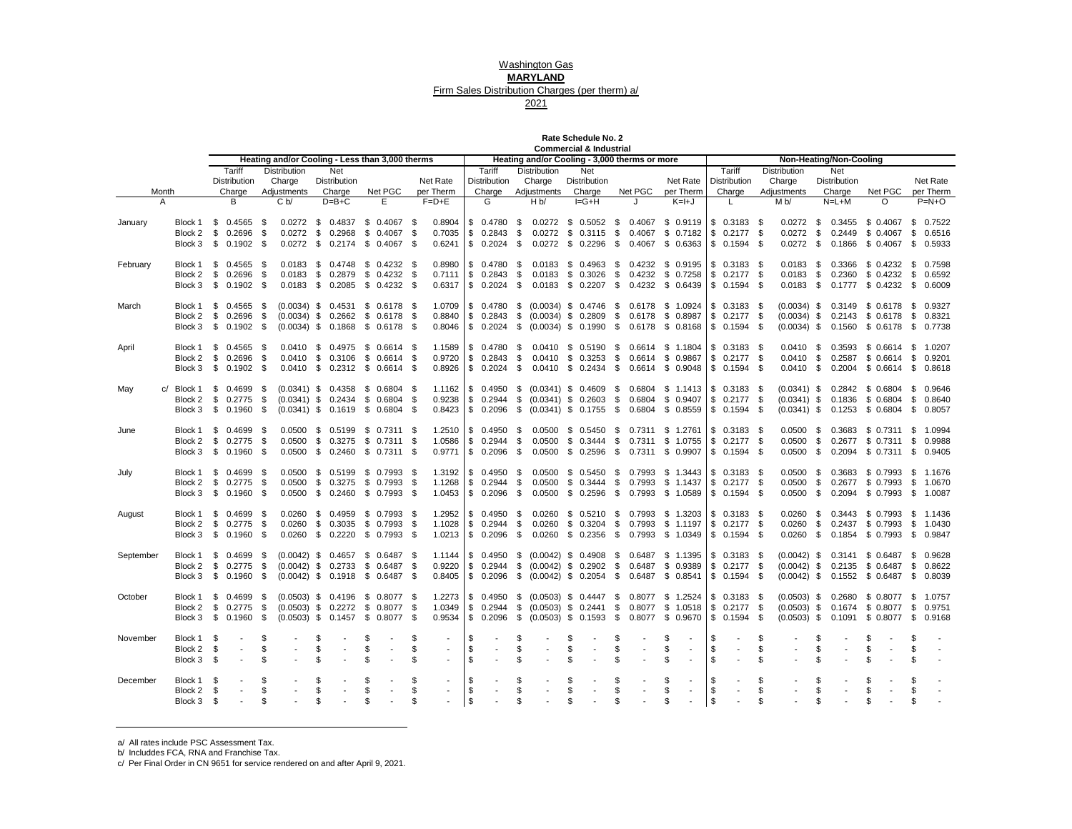Washington Gas

# **MARYLAND**

## Firm Sales Distribution Charges (per therm) a/

2021

**Commercial & Industrial Rate Schedule No. 2**

|                |                              |     |                          |            | Heating and/or Cooling - Less than 3,000 therms |     |                                                           |     |                          |                                |          |                          |          | Heating and/or Cooling - 3,000 therms or more                   |    | <b>POILITION CRIME OF THE OUTER</b> |    |                                                          |                                |          |                              |          |                            |      | Non-Heating/Non-Cooling                                  |                      |              |                          |
|----------------|------------------------------|-----|--------------------------|------------|-------------------------------------------------|-----|-----------------------------------------------------------|-----|--------------------------|--------------------------------|----------|--------------------------|----------|-----------------------------------------------------------------|----|-------------------------------------|----|----------------------------------------------------------|--------------------------------|----------|------------------------------|----------|----------------------------|------|----------------------------------------------------------|----------------------|--------------|--------------------------|
|                |                              |     | Tariff                   |            | <b>Distribution</b>                             |     | Net                                                       |     |                          |                                |          | Tariff                   |          | <b>Distribution</b>                                             |    | Net                                 |    |                                                          |                                |          | Tariff                       |          | <b>Distribution</b>        |      | Net                                                      |                      |              |                          |
|                |                              |     | <b>Distribution</b>      |            | Charge                                          |     | <b>Distribution</b>                                       |     |                          | Net Rate                       |          | <b>Distribution</b>      |          | Charge                                                          |    | <b>Distribution</b>                 |    |                                                          | Net Rate                       |          | <b>Distribution</b>          |          | Charge                     |      | <b>Distribution</b>                                      |                      |              | Net Rate                 |
| Month          |                              |     | Charge                   |            | Adjustments                                     |     | Charge                                                    |     | Net PGC                  | per Therm                      |          | Charge                   |          | Adjustments                                                     |    | Charge                              |    | Net PGC                                                  | per Therm                      |          | Charge                       |          | Adjustments                |      | Charge                                                   | Net PGC              |              | per Therm                |
| $\overline{A}$ |                              |     | B                        |            | C <sub>b</sub>                                  |     | $D=B+C$                                                   |     | Е                        | $F=D+E$                        |          | G                        |          | H <sub>b</sub>                                                  |    | $I = G + H$                         |    |                                                          | $K=H+J$                        |          | L.                           |          | M b/                       |      | $N=L+M$                                                  | O                    |              | $P=N+O$                  |
|                |                              |     |                          |            |                                                 |     |                                                           |     |                          |                                |          |                          |          |                                                                 |    |                                     |    |                                                          |                                |          |                              |          |                            |      |                                                          |                      |              |                          |
| January        |                              |     | Block 1 \$ 0.4565 \$     |            |                                                 |     | 0.0272 \$ 0.4837 \$ 0.4067 \$                             |     |                          | 0.8904                         |          |                          |          | \$ 0.4780 \$ 0.0272 \$ 0.5052 \$ 0.4067 \$ 0.9119  \$ 0.3183 \$ |    |                                     |    |                                                          |                                |          |                              |          |                            |      | 0.0272 \$ 0.3455 \$ 0.4067 \$ 0.7522                     |                      |              |                          |
|                |                              |     | Block 2 \$ 0.2696 \$     |            |                                                 |     | 0.0272 \$ 0.2968 \$ 0.4067 \$                             |     |                          | 0.7035                         |          | \$0.2843\$               |          | $0.0272$ \$ 0.3115 \$ 0.4067 \$ 0.7182 \$ 0.2177 \$             |    |                                     |    |                                                          |                                |          |                              |          | $0.0272$ \$                |      | 0.2449 \$ 0.4067                                         |                      |              | \$ 0.6516                |
|                | Block 3 \$ 0.1902 \$         |     |                          |            |                                                 |     | 0.0272 \$ 0.2174 \$ 0.4067 \$                             |     |                          | 0.6241                         |          |                          |          | \$ 0.2024 \$ 0.0272 \$ 0.2296 \$ 0.4067 \$ 0.6363               |    |                                     |    |                                                          |                                |          | $$0.1594$ \$                 |          | $0.0272$ \$                |      | 0.1866 \$ 0.4067 \$ 0.5933                               |                      |              |                          |
|                |                              |     |                          |            |                                                 |     |                                                           |     |                          |                                |          |                          |          |                                                                 |    |                                     |    |                                                          |                                |          |                              |          |                            |      |                                                          |                      |              |                          |
| February       | Block 1                      | \$  | $0.4565$ \$              |            |                                                 |     | 0.0183 \$ 0.4748 \$ 0.4232 \$                             |     |                          | 0.8980                         |          | $$0.4780$ \$             |          | $0.0183$ \$ 0.4963 \$                                           |    |                                     |    | 0.4232 \$ 0.9195                                         |                                |          | $$0.3183$ \$                 |          | $0.0183$ \$                |      | 0.3366 \$ 0.4232 \$ 0.7598                               |                      |              |                          |
|                | Block 2                      |     | \$ 0.2696 \$             |            |                                                 |     | 0.0183 \$ 0.2879 \$ 0.4232 \$                             |     |                          | 0.7111                         |          |                          |          | $$0.2843$ \$ 0.0183 \$ 0.3026 \$ 0.4232 \$ 0.7258               |    |                                     |    |                                                          |                                |          | $$0.2177$ \$                 |          |                            |      | 0.0183 \$ 0.2360 \$ 0.4232                               |                      |              | \$ 0.6592                |
|                | Block 3                      |     | $$0.1902$ \$             |            |                                                 |     | 0.0183 \$ 0.2085 \$ 0.4232 \$                             |     |                          | 0.6317                         |          | $$0.2024$ \$             |          | 0.0183 \$ 0.2207 \$ 0.4232 \$ 0.6439                            |    |                                     |    |                                                          |                                |          | $$0.1594$ \$                 |          |                            |      | 0.0183 \$ 0.1777 \$ 0.4232 \$ 0.6009                     |                      |              |                          |
|                |                              |     |                          |            |                                                 |     |                                                           |     |                          |                                |          |                          |          |                                                                 |    |                                     |    |                                                          |                                |          |                              |          |                            |      |                                                          |                      |              |                          |
| March          | Block 1                      |     | $$0.4565$ \$             |            |                                                 |     | $(0.0034)$ \$ 0.4531 \$ 0.6178 \$                         |     |                          | 1.0709                         |          |                          |          | \$ 0.4780 \$ (0.0034) \$ 0.4746 \$ 0.6178 \$ 1.0924             |    |                                     |    |                                                          |                                |          | $$0.3183$ \$                 |          | $(0.0034)$ \$              |      | 0.3149 \$ 0.6178 \$ 0.9327                               |                      |              |                          |
|                |                              |     | Block 2 \$ 0.2696 \$     |            |                                                 |     | $(0.0034)$ \$ 0.2662 \$ 0.6178 \$                         |     |                          | 0.8840                         |          |                          |          | \$ 0.2843 \$ (0.0034) \$ 0.2809 \$ 0.6178 \$ 0.8987             |    |                                     |    |                                                          |                                |          | $$0.2177$ \$                 |          | $(0.0034)$ \$              |      | 0.2143 \$ 0.6178 \$ 0.8321                               |                      |              |                          |
|                | Block 3                      |     | $$0.1902$ \$             |            |                                                 |     | $(0.0034)$ \$ 0.1868 \$ 0.6178 \$                         |     |                          |                                |          |                          |          | 0.8046   \$ 0.2024 \$ (0.0034) \$ 0.1990 \$ 0.6178 \$ 0.8168    |    |                                     |    |                                                          |                                |          | $$0.1594$ \$                 |          |                            |      | $(0.0034)$ \$ 0.1560 \$ 0.6178 \$ 0.7738                 |                      |              |                          |
|                |                              |     |                          |            |                                                 |     |                                                           |     |                          |                                |          |                          |          |                                                                 |    |                                     |    |                                                          |                                |          |                              |          |                            |      |                                                          |                      |              |                          |
| April          | Block 1<br>Block 2 \$ 0.2696 | \$  | $0.4565$ \$              | $^{\circ}$ |                                                 |     | 0.0410 \$ 0.4975 \$ 0.6614 \$<br>0.0410 \$ 0.3106         |     | $$0.6614$ \$             | 1.1589<br>0.9720               |          | \$ 0.4780<br>\$0.2843    | \$<br>\$ | $0.0410 \quad $0.5190 \quad $$                                  |    |                                     |    | 0.6614 \$ 1.1804<br>0.0410 \$ 0.3253 \$ 0.6614 \$ 0.9867 |                                |          | $$0.3183$ \$<br>$$0.2177$ \$ |          | $0.0410$ \$<br>$0.0410$ \$ |      | 0.3593 \$ 0.6614 \$ 1.0207<br>0.2587 \$ 0.6614 \$ 0.9201 |                      |              |                          |
|                | Block 3 \$ 0.1902 \$         |     |                          |            |                                                 |     | 0.0410 \$ 0.2312 \$ 0.6614 \$                             |     |                          | 0.8926                         |          | \$0.2024\$               |          | 0.0410 \$ 0.2434 \$ 0.6614 \$ 0.9048                            |    |                                     |    |                                                          |                                |          | $$0.1594$ \$                 |          | $0.0410$ \$                |      | 0.2004 \$ 0.6614 \$ 0.8618                               |                      |              |                          |
|                |                              |     |                          |            |                                                 |     |                                                           |     |                          |                                |          |                          |          |                                                                 |    |                                     |    |                                                          |                                |          |                              |          |                            |      |                                                          |                      |              |                          |
| May            | c/ Block 1                   |     | $$0.4699$ \$             |            |                                                 |     | $(0.0341)$ \$ 0.4358 \$ 0.6804 \$                         |     |                          | 1.1162                         |          | \$0.4950                 |          | \$ (0.0341) \$ 0.4609 \$                                        |    |                                     |    | 0.6804 \$ 1.1413                                         |                                |          | $$0.3183$ \$                 |          | $(0.0341)$ \$              |      | 0.2842 \$ 0.6804 \$ 0.9646                               |                      |              |                          |
|                |                              |     | Block 2 \$ 0.2775 \$     |            |                                                 |     | $(0.0341)$ \$ 0.2434 \$ 0.6804 \$                         |     |                          | 0.9238                         |          |                          |          | $$0.2944$ $$$ (0.0341) $$0.2603$ $$0.6804$ $$0.9407$            |    |                                     |    |                                                          |                                |          | $$0.2177$ \$                 |          | $(0.0341)$ \$              |      | 0.1836 \$ 0.6804 \$ 0.8640                               |                      |              |                          |
|                | Block 3                      |     | \$ 0.1960 \$             |            |                                                 |     | $(0.0341)$ \$ 0.1619 \$ 0.6804 \$                         |     |                          |                                |          |                          |          | $0.8423$ \$ 0.2096 \$ (0.0341) \$ 0.1755 \$ 0.6804 \$ 0.8559    |    |                                     |    |                                                          |                                |          | $$0.1594$ \$                 |          |                            |      | $(0.0341)$ \$ 0.1253 \$ 0.6804 \$ 0.8057                 |                      |              |                          |
|                |                              |     |                          |            |                                                 |     |                                                           |     |                          |                                |          |                          |          |                                                                 |    |                                     |    |                                                          |                                |          |                              |          |                            |      |                                                          |                      |              |                          |
| June           | Block 1                      |     | $$0.4699$ \$             |            |                                                 |     | 0.0500 \$ 0.5199 \$ 0.7311 \$                             |     |                          | 1.2510                         |          | \$0.4950                 | - \$     |                                                                 |    |                                     |    | 0.0500 \$ 0.5450 \$ 0.7311 \$ 1.2761                     |                                |          | $$0.3183$ \$                 |          | $0.0500$ \$                |      | 0.3683 \$ 0.7311 \$ 1.0994                               |                      |              |                          |
|                |                              |     | Block 2 \$ 0.2775 \$     |            |                                                 |     |                                                           |     |                          | 1.0586                         | l \$     | $0.2944$ \$              |          |                                                                 |    |                                     |    | 0.0500 \$ 0.3444 \$ 0.7311 \$ 1.0755                     |                                |          | $$0.2177$ \$                 |          | $0.0500$ \$                |      | 0.2677 \$ 0.7311 \$ 0.9988                               |                      |              |                          |
|                | Block 3 \$ 0.1960 \$         |     |                          |            |                                                 |     | 0.0500 \$ 0.2460 \$ 0.7311 \$                             |     |                          | 0.9771                         |          |                          |          | \$ 0.2096 \$ 0.0500 \$ 0.2596 \$ 0.7311 \$ 0.9907               |    |                                     |    |                                                          |                                |          | $$0.1594$ \$                 |          | $0.0500$ \$                |      | 0.2094 \$ 0.7311 \$ 0.9405                               |                      |              |                          |
|                |                              |     |                          |            |                                                 |     |                                                           |     |                          |                                |          |                          |          |                                                                 |    |                                     |    |                                                          |                                |          |                              |          |                            |      |                                                          |                      |              |                          |
| July           | Block 1                      | \$  | 0.4699                   | - \$       |                                                 |     | 0.0500 \$ 0.5199 \$ 0.7993 \$                             |     |                          | 1.3192                         |          | \$0.4950                 | - \$     | $0.0500 \t\t\t $0.5450 \t\t $$                                  |    |                                     |    | 0.7993 \$ 1.3443                                         |                                |          | $$0.3183$ \$                 |          | $0.0500$ \$                |      | 0.3683 \$ 0.7993 \$ 1.1676                               |                      |              |                          |
|                | Block 2 \$ 0.2775            |     |                          | - \$       |                                                 |     | 0.0500 \$ 0.3275 \$ 0.7993 \$                             |     |                          | 1.1268                         | \$       | 0.2944                   | - \$     |                                                                 |    |                                     |    | 0.0500 \$ 0.3444 \$ 0.7993 \$ 1.1437                     |                                |          | $$0.2177$ \$                 |          | 0.0500                     | \$   | 0.2677 \$ 0.7993                                         |                      |              | \$ 1.0670                |
|                | Block 3                      | \$  | $0.1960$ \$              |            |                                                 |     | 0.0500 \$ 0.2460 \$ 0.7993 \$                             |     |                          |                                |          | $1.0453$ \$ 0.2096 \$    |          | $0.0500 \t\t $ 0.2596 \t$$                                      |    |                                     |    | 0.7993 \$ 1.0589                                         |                                |          | $$0.1594$ \$                 |          | $0.0500$ \$                |      | 0.2094 \$ 0.7993 \$ 1.0087                               |                      |              |                          |
|                |                              |     |                          |            |                                                 |     |                                                           |     |                          |                                |          |                          |          |                                                                 |    |                                     |    |                                                          |                                |          |                              |          |                            |      |                                                          |                      |              |                          |
| August         | Block 1                      |     | $$0.4699$ \$             |            |                                                 |     | $0.0260$ \$ 0.4959 \$ 0.7993 \$                           |     |                          | 1.2952                         |          | \$ 0.4950                | - \$     |                                                                 |    |                                     |    | 0.0260 \$ 0.5210 \$ 0.7993 \$ 1.3203                     |                                |          | $$0.3183$ \$                 |          | 0.0260                     | - \$ | 0.3443 \$ 0.7993 \$ 1.1436                               |                      |              |                          |
|                | Block 2 \$ 0.2775 \$         |     |                          |            |                                                 |     | 0.0260 \$ 0.3035 \$ 0.7993 \$                             |     |                          | 1.1028                         |          | $$0.2944$ \$             |          | 0.0260                                                          |    |                                     |    | \$ 0.3204 \$ 0.7993 \$ 1.1197                            |                                |          | $$0.2177$ \$                 |          | 0.0260                     | \$   | 0.2437 \$ 0.7993                                         |                      |              | \$ 1.0430                |
|                | Block 3 \$ 0.1960 \$         |     |                          |            |                                                 |     | 0.0260 \$ 0.2220 \$ 0.7993 \$                             |     |                          | 1.0213                         |          | $$0.2096$ \$             |          |                                                                 |    |                                     |    | 0.0260 \$ 0.2356 \$ 0.7993 \$ 1.0349                     |                                |          | $$0.1594$ \$                 |          | $0.0260$ \$                |      | 0.1854 \$ 0.7993 \$ 0.9847                               |                      |              |                          |
|                |                              |     |                          |            |                                                 |     |                                                           |     |                          |                                |          |                          |          |                                                                 |    |                                     |    |                                                          |                                |          |                              |          |                            |      |                                                          |                      |              |                          |
| September      | Block 1                      |     | $$0.4699$ \$             |            |                                                 |     | $(0.0042)$ \$ 0.4657 \$ 0.6487 \$                         |     |                          | 1.1144                         |          |                          |          | $$0.4950 \$ (0.0042) \$ 0.4908 \$$                              |    |                                     |    | 0.6487 \$ 1.1395                                         |                                |          | $$0.3183$ \$                 |          | $(0.0042)$ \$              |      | 0.3141 \$ 0.6487 \$ 0.9628                               |                      |              |                          |
|                |                              |     | Block 2 \$ 0.2775 \$     |            |                                                 |     | $(0.0042)$ \$ 0.2733                                      |     | $$0.6487$ \$             | 0.9220                         |          |                          |          | \$ 0.2944 \$ (0.0042) \$ 0.2902 \$ 0.6487 \$ 0.9389             |    |                                     |    |                                                          |                                |          | $$0.2177$ \$                 |          | $(0.0042)$ \$              |      | 0.2135 \$ 0.6487 \$ 0.8622                               |                      |              |                          |
|                | Block 3                      |     | \$ 0.1960 \$             |            |                                                 |     | $(0.0042)$ \$ 0.1918 \$ 0.6487 \$                         |     |                          | 0.8405                         |          | \$0.2096                 |          | \$ (0.0042) \$ 0.2054 \$ 0.6487 \$ 0.8541                       |    |                                     |    |                                                          |                                |          | $$0.1594$ \$                 |          | $(0.0042)$ \$              |      | 0.1552 \$ 0.6487 \$ 0.8039                               |                      |              |                          |
| October        | Block 1                      |     | \$ 0.4699                | - \$       |                                                 |     |                                                           |     |                          | 1.2273                         |          |                          |          | \$ 0.4950 \$ (0.0503) \$ 0.4447 \$ 0.8077 \$ 1.2524             |    |                                     |    |                                                          |                                |          | $$0.3183$ \$                 |          | $(0.0503)$ \$              |      | 0.2680 \$ 0.8077 \$ 1.0757                               |                      |              |                          |
|                | Block 2 \$                   |     | 0.2775                   | $^{\circ}$ |                                                 |     | $(0.0503)$ \$ 0.4196 \$ 0.8077 \$<br>$(0.0503)$ \$ 0.2272 |     | \$ 0.8077 \$             | 1.0349                         |          |                          |          | \$ 0.2944 \$ (0.0503) \$ 0.2441 \$ 0.8077 \$ 1.0518             |    |                                     |    |                                                          |                                |          | $$0.2177$ \$                 |          | $(0.0503)$ \$              |      | 0.1674 \$ 0.8077 \$ 0.9751                               |                      |              |                          |
|                | Block 3                      | - S | 0.1960                   | <b>S</b>   |                                                 |     | $(0.0503)$ \$ 0.1457 \$ 0.8077 \$                         |     |                          | 0.9534                         |          | \$0.2096                 |          | \$ (0.0503) \$ 0.1593 \$ 0.8077 \$ 0.9670                       |    |                                     |    |                                                          |                                |          | \$0.1594                     | <b>S</b> | $(0.0503)$ \$              |      | 0.1091 \$ 0.8077 \$ 0.9168                               |                      |              |                          |
|                |                              |     |                          |            |                                                 |     |                                                           |     |                          |                                |          |                          |          |                                                                 |    |                                     |    |                                                          |                                |          |                              |          |                            |      |                                                          |                      |              |                          |
| November       | Block 1                      | \$  |                          | \$         |                                                 |     |                                                           | \$. |                          |                                | \$       |                          | \$       |                                                                 | S  |                                     | \$ |                                                          | \$                             | \$       |                              | \$       |                            | \$   |                                                          | \$                   | \$           |                          |
|                | Block 2 \$                   |     |                          | \$         |                                                 | \$  |                                                           | \$  |                          | \$                             | \$       | $\overline{\phantom{a}}$ | \$       | $\overline{\phantom{a}}$                                        | \$ |                                     | \$ |                                                          | \$<br>$\overline{\phantom{a}}$ | \$       | $\blacksquare$               | \$       |                            | \$   |                                                          | \$<br>$\blacksquare$ | \$           |                          |
|                | Block 3 \$                   |     |                          | \$         |                                                 | \$. |                                                           | \$  |                          | \$                             | \$       |                          | \$       |                                                                 | \$ |                                     | \$ |                                                          | \$                             | - \$     |                              | \$       |                            | \$   |                                                          |                      |              |                          |
|                |                              |     |                          |            |                                                 |     |                                                           |     |                          |                                |          |                          |          |                                                                 |    |                                     |    |                                                          |                                |          |                              |          |                            |      |                                                          |                      |              |                          |
| December       | Block 1                      | \$. |                          | \$         |                                                 | \$  |                                                           | \$  |                          | \$                             | \$       | $\overline{\phantom{a}}$ | \$       | $\overline{\phantom{a}}$                                        | \$ |                                     | S  |                                                          | \$                             | \$       |                              | \$       |                            | \$   |                                                          | \$                   | \$           |                          |
|                | Block 2 \$                   |     | $\overline{\phantom{a}}$ | \$         | $\overline{\phantom{a}}$                        | \$  | $\sim$                                                    | \$  | $\overline{\phantom{a}}$ | \$<br>$\sim$                   | \$       | $\overline{\phantom{a}}$ | \$       | $\sim$                                                          | \$ | $\sim$                              | \$ | $\sim$                                                   | \$<br>$\sim$                   | \$       | $\sim$                       | \$       | $\overline{\phantom{a}}$   | \$   | $\mathbf{r}$                                             | \$<br>$\sim$         | $\mathbb{S}$ | $\overline{\phantom{a}}$ |
|                | Block 3 \$                   |     |                          | \$.        |                                                 | \$  |                                                           | \$  | $\blacksquare$           | \$<br>$\overline{\phantom{a}}$ | <b>S</b> | $\sim$                   | S.       | $\sim$                                                          | \$ |                                     | \$ |                                                          | \$<br>$\sim$                   | <b>S</b> | $\overline{\phantom{a}}$     | \$.      |                            | \$   |                                                          |                      | \$           |                          |

a/ All rates include PSC Assessment Tax.

b/ Includdes FCA, RNA and Franchise Tax.

c/ Per Final Order in CN 9651 for service rendered on and after April 9, 2021.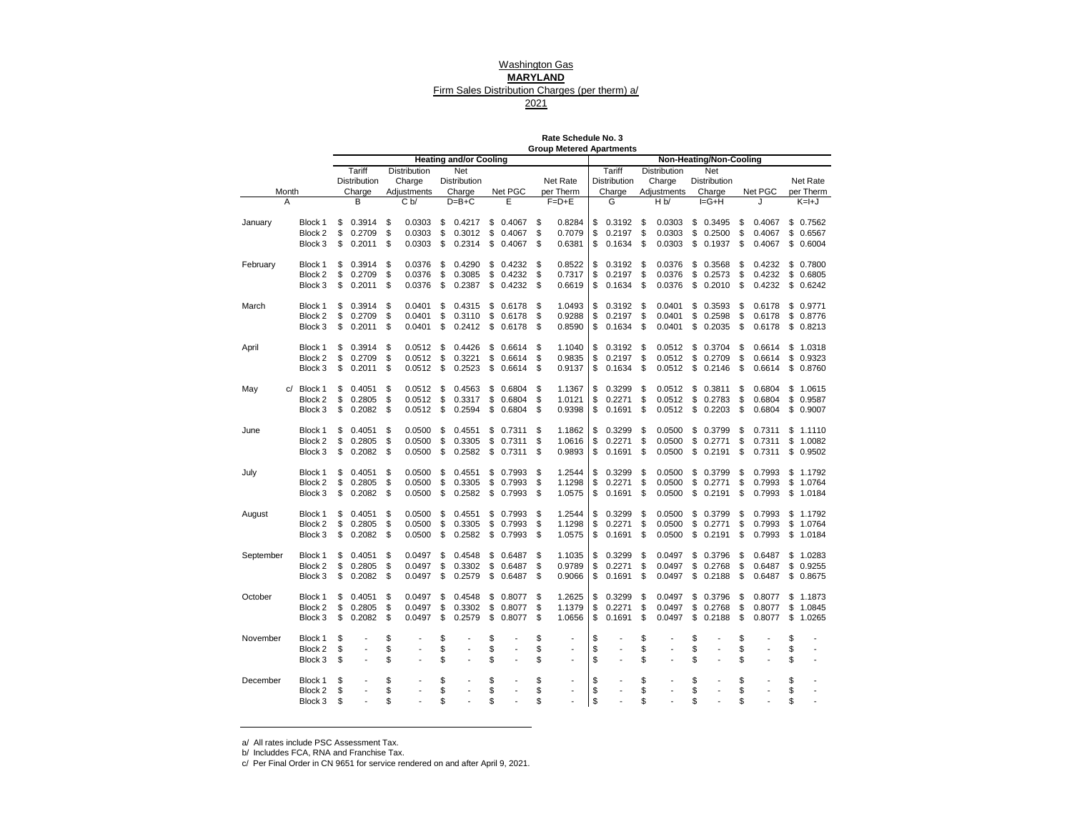# Washington Gas

## **MARYLAND**

## Firm Sales Distribution Charges (per therm) a/

2021

| Rate Schedule No. 3             |  |
|---------------------------------|--|
| <b>Group Metered Apartments</b> |  |

|            |                       |          |                  |          |                     |          | <b>Heating and/or Cooling</b> |          |                  |          |                      |            |                  |          |                               |          | Non-Heating/Non-Cooling |          |                  |          |                      |
|------------|-----------------------|----------|------------------|----------|---------------------|----------|-------------------------------|----------|------------------|----------|----------------------|------------|------------------|----------|-------------------------------|----------|-------------------------|----------|------------------|----------|----------------------|
|            |                       |          | Tariff           |          | Distribution        |          | Net                           |          |                  |          |                      |            | Tariff           |          | Distribution                  |          | Net                     |          |                  |          |                      |
|            |                       |          | Distribution     |          | Charge              |          | Distribution                  |          |                  |          | Net Rate             |            | Distribution     |          | Charge                        |          | Distribution            |          |                  |          | Net Rate             |
| Month<br>А |                       |          | Charge<br>B      |          | Adjustments<br>C b/ |          | Charge<br>$D=B+C$             |          | Net PGC<br>E     |          | per Therm<br>$F=D+E$ |            | Charge<br>G      |          | Adjustments<br>H <sub>b</sub> |          | Charge<br>$I = G + H$   |          | Net PGC          |          | per Therm<br>$K=H+J$ |
|            |                       |          |                  |          |                     |          |                               |          |                  |          |                      |            |                  |          |                               |          |                         |          |                  |          |                      |
| January    | Block 1               | \$       | 0.3914           | \$       | 0.0303              | \$       | 0.4217                        | \$       | 0.4067           | \$       | 0.8284               | \$         | 0.3192           | \$       | 0.0303                        | \$       | 0.3495                  | \$       | 0.4067           |          | \$0.7562             |
|            | Block 2               | \$       | 0.2709           | \$       | 0.0303              | \$       | 0.3012                        | \$       | 0.4067           | \$       | 0.7079               | \$         | 0.2197           | \$       | 0.0303                        | \$       | 0.2500                  | \$       | 0.4067           | \$       | 0.6567               |
|            | Block 3               | \$       | 0.2011           | \$       | 0.0303              | \$       | 0.2314                        | \$       | 0.4067           | \$       | 0.6381               | \$         | 0.1634           | \$       | 0.0303                        | \$       | 0.1937                  | \$       | 0.4067           |          | \$0.6004             |
|            | Block 1               | \$       | 0.3914           | \$       | 0.0376              | \$       | 0.4290                        | \$       | 0.4232           | \$       | 0.8522               | \$         | 0.3192           | \$       | 0.0376                        | \$       | 0.3568                  | \$       | 0.4232           | \$       | 0.7800               |
| February   | Block 2               | \$       | 0.2709           | \$       | 0.0376              | \$       | 0.3085                        | \$       | 0.4232           | \$       | 0.7317               | \$         | 0.2197           | \$       | 0.0376                        | \$       | 0.2573                  | \$       | 0.4232           |          | \$0.6805             |
|            | Block 3               | \$       | 0.2011           | \$       | 0.0376              | \$       | 0.2387                        | \$       | 0.4232           | \$       | 0.6619               | \$         | 0.1634           | \$       | 0.0376                        | \$       | 0.2010                  | \$       | 0.4232           | \$       | 0.6242               |
|            |                       |          |                  |          |                     |          |                               |          |                  |          |                      |            |                  |          |                               |          |                         |          |                  |          |                      |
| March      | Block 1               | \$       | 0.3914           | \$       | 0.0401              | \$       | 0.4315                        | \$       | 0.6178           | \$       | 1.0493               | \$         | 0.3192           | \$       | 0.0401                        | \$       | 0.3593                  | \$       | 0.6178           | \$       | 0.9771               |
|            | Block 2               | \$       | 0.2709           | \$       | 0.0401              | \$       | 0.3110                        | \$       | 0.6178           | \$       | 0.9288               | \$         | 0.2197           | \$       | 0.0401                        | \$       | 0.2598                  | \$       | 0.6178           | \$       | 0.8776               |
|            | Block 3               | \$       | 0.2011           | \$       | 0.0401              | \$       | 0.2412                        | \$       | 0.6178           | \$       | 0.8590               | \$         | 0.1634           | \$       | 0.0401                        | \$       | 0.2035                  | \$       | 0.6178           |          | \$ 0.8213            |
| April      | Block 1               | \$       | 0.3914           | \$       | 0.0512              | \$       | 0.4426                        | \$       | 0.6614           | \$       | 1.1040               | \$         | 0.3192           | \$       | 0.0512                        | \$       | 0.3704                  | \$       | 0.6614           | \$       | 1.0318               |
|            | Block 2               | \$       | 0.2709           | \$       | 0.0512              | \$       | 0.3221                        | \$       | 0.6614           | \$       | 0.9835               | \$         | 0.2197           | \$       | 0.0512                        | \$       | 0.2709                  | \$       | 0.6614           | \$       | 0.9323               |
|            | Block 3               | \$       | 0.2011           | \$       | 0.0512              | \$       | 0.2523                        | \$       | 0.6614           | \$       | 0.9137               | \$         | 0.1634           | \$       | 0.0512                        | \$       | 0.2146                  | \$       | 0.6614           | \$       | 0.8760               |
|            |                       |          |                  |          |                     |          |                               |          |                  |          |                      |            |                  |          |                               |          |                         |          |                  |          |                      |
| May        | c/ Block 1<br>Block 2 | \$<br>\$ | 0.4051<br>0.2805 | \$<br>\$ | 0.0512<br>0.0512    | \$<br>\$ | 0.4563<br>0.3317              | \$<br>\$ | 0.6804<br>0.6804 | \$<br>\$ | 1.1367<br>1.0121     | \$<br>\$   | 0.3299<br>0.2271 | \$<br>\$ | 0.0512<br>0.0512              | \$<br>\$ | 0.3811<br>0.2783        | \$<br>\$ | 0.6804<br>0.6804 | \$<br>\$ | 1.0615<br>0.9587     |
|            | Block 3               | \$       | 0.2082           | \$       | 0.0512              | \$       | 0.2594                        | \$       | 0.6804           | \$       | 0.9398               | \$         | 0.1691           | \$       | 0.0512                        | \$       | 0.2203                  | \$       | 0.6804           | \$       | 0.9007               |
|            |                       |          |                  |          |                     |          |                               |          |                  |          |                      |            |                  |          |                               |          |                         |          |                  |          |                      |
| June       | Block 1               | \$       | 0.4051           | \$       | 0.0500              | \$       | 0.4551                        | \$       | 0.7311           | \$       | 1.1862               | \$         | 0.3299           | \$       | 0.0500                        | \$       | 0.3799                  | \$       | 0.7311           |          | \$1.1110             |
|            | Block 2               | \$       | 0.2805           | \$       | 0.0500              | \$       | 0.3305                        | \$       | 0.7311           | \$       | 1.0616               | \$         | 0.2271           | \$       | 0.0500                        | \$       | 0.2771                  | \$       | 0.7311           | \$       | 1.0082               |
|            | Block 3               | \$       | 0.2082           | \$       | 0.0500              | \$       | 0.2582                        | \$       | 0.7311           | \$       | 0.9893               | \$         | 0.1691           | \$       | 0.0500                        | \$       | 0.2191                  | \$       | 0.7311           |          | \$0.9502             |
| July       | Block 1               | \$       | 0.4051           | \$       | 0.0500              | \$       | 0.4551                        | \$       | 0.7993           | \$       | 1.2544               | \$         | 0.3299           | \$       | 0.0500                        | \$       | 0.3799                  | \$       | 0.7993           | \$       | 1.1792               |
|            | Block 2               | \$       | 0.2805           | \$       | 0.0500              | \$       | 0.3305                        | \$       | 0.7993           | \$       | 1.1298               | \$         | 0.2271           | \$       | 0.0500                        | \$       | 0.2771                  | \$       | 0.7993           | \$       | 1.0764               |
|            | Block 3               | \$       | 0.2082           | \$       | 0.0500              | \$       | 0.2582                        | \$       | 0.7993           | \$       | 1.0575               | \$         | 0.1691           | \$       | 0.0500                        | \$       | 0.2191                  | \$       | 0.7993           | \$       | 1.0184               |
|            |                       |          |                  |          |                     |          |                               |          |                  |          |                      |            |                  |          |                               |          |                         |          |                  |          |                      |
| August     | Block 1<br>Block 2    | \$<br>\$ | 0.4051<br>0.2805 | \$<br>\$ | 0.0500<br>0.0500    | \$<br>\$ | 0.4551<br>0.3305              | \$<br>\$ | 0.7993<br>0.7993 | \$<br>\$ | 1.2544<br>1.1298     | \$<br>\$   | 0.3299<br>0.2271 | \$<br>\$ | 0.0500<br>0.0500              | \$<br>\$ | 0.3799<br>0.2771        | \$<br>\$ | 0.7993<br>0.7993 | \$<br>\$ | 1.1792<br>1.0764     |
|            | Block 3               | \$       | 0.2082           | \$       | 0.0500              | \$       | 0.2582                        | \$       | 0.7993           | \$       | 1.0575               | \$         | 0.1691           | \$       | 0.0500                        | \$       | 0.2191                  | \$       | 0.7993           |          | \$1.0184             |
|            |                       |          |                  |          |                     |          |                               |          |                  |          |                      |            |                  |          |                               |          |                         |          |                  |          |                      |
| September  | Block 1               | \$       | 0.4051           | \$       | 0.0497              | \$       | 0.4548                        | \$       | 0.6487           | \$       | 1.1035               | \$         | 0.3299           | \$       | 0.0497                        | \$       | 0.3796                  | \$       | 0.6487           | \$       | 1.0283               |
|            | Block 2               | \$       | 0.2805           | \$       | 0.0497              | \$       | 0.3302                        | \$       | 0.6487           | \$       | 0.9789               | \$         | 0.2271           | \$       | 0.0497                        | \$       | 0.2768                  | \$       | 0.6487           | \$       | 0.9255               |
|            | Block 3               | \$       | 0.2082           | \$       | 0.0497              | \$       | 0.2579                        | \$       | 0.6487           | \$       | 0.9066               | \$         | 0.1691           | \$       | 0.0497                        | \$       | 0.2188                  | \$       | 0.6487           | \$       | 0.8675               |
| October    | Block 1               | \$       | 0.4051           | \$       | 0.0497              | \$       | 0.4548                        | \$       | 0.8077           | \$       | 1.2625               | \$         | 0.3299           | \$       | 0.0497                        | \$       | 0.3796                  | \$       | 0.8077           | \$       | 1.1873               |
|            | Block 2               | \$       | 0.2805           | \$       | 0.0497              | \$       | 0.3302                        | \$       | 0.8077           | \$       | 1.1379               | \$         | 0.2271           | \$       | 0.0497                        | \$       | 0.2768                  | \$       | 0.8077           | \$       | 1.0845               |
|            | Block 3               | \$       | 0.2082           | \$       | 0.0497              | \$       | 0.2579                        | \$       | 0.8077           | \$       | 1.0656               | \$         | 0.1691           | \$       | 0.0497                        | \$       | 0.2188                  | \$       | 0.8077           | \$       | 1.0265               |
|            |                       |          |                  |          |                     |          |                               |          |                  |          |                      |            |                  |          |                               |          |                         |          |                  |          |                      |
| November   | Block 1               | \$       |                  | \$       |                     | \$       |                               | \$       |                  | \$       |                      | \$         |                  | \$       |                               | \$       |                         | \$       |                  | \$       |                      |
|            | Block 2<br>Block 3    | \$<br>\$ |                  | \$<br>\$ |                     | \$<br>\$ |                               | \$<br>\$ | ÷,               | \$<br>\$ | $\overline{a}$       | \$<br>\$   |                  | \$<br>\$ |                               | \$<br>\$ |                         | \$<br>\$ |                  | \$<br>\$ | $\overline{a}$       |
|            |                       |          |                  |          |                     |          |                               |          |                  |          |                      |            |                  |          |                               |          |                         |          |                  |          |                      |
| December   | Block 1               | \$       |                  | \$       |                     | \$       |                               | \$       | $\overline{a}$   | \$       | ÷,                   | \$         |                  | \$       |                               | \$       |                         | \$       |                  | \$       |                      |
|            | Block 2               | \$       |                  | \$       |                     | \$       |                               | \$       | $\overline{a}$   | \$       | $\blacksquare$       | \$         |                  | \$       |                               | \$       |                         | \$       |                  | \$       |                      |
|            | Block 3               | \$       |                  | \$       |                     | \$       |                               | \$       |                  | \$       |                      | $\sqrt{3}$ |                  | \$       |                               | \$       |                         | \$       |                  | \$       |                      |

a/ All rates include PSC Assessment Tax.

b/ Includdes FCA, RNA and Franchise Tax.

c/ Per Final Order in CN 9651 for service rendered on and after April 9, 2021.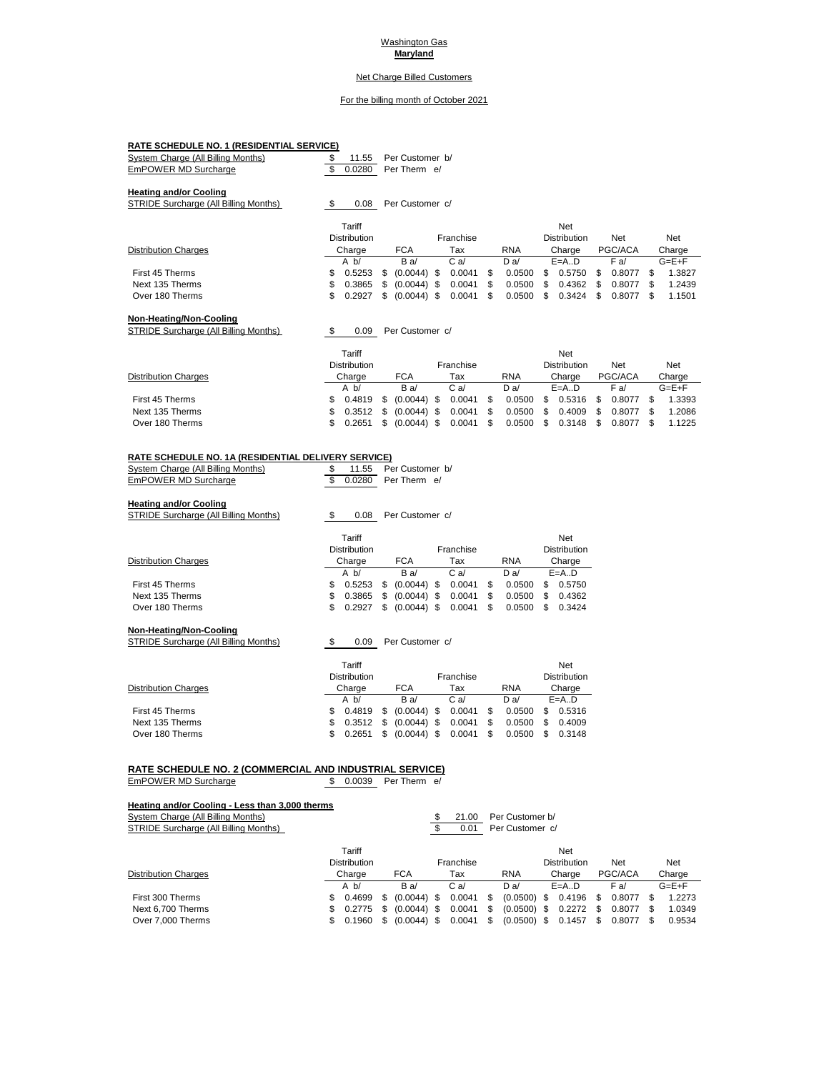#### Washington Gas **Maryland**

## Net Charge Billed Customers

#### For the billing month of October 2021

| <b>RATE SCHEDULE NO. 1 (RESIDENTIAL SERVICE)</b>                       |   |                     |   |                 |     |           |   |            |     |                     |     |         |     |             |
|------------------------------------------------------------------------|---|---------------------|---|-----------------|-----|-----------|---|------------|-----|---------------------|-----|---------|-----|-------------|
| System Charge (All Billing Months)                                     |   | 11.55               |   | Per Customer b/ |     |           |   |            |     |                     |     |         |     |             |
| EmPOWER MD Surcharge                                                   |   | 0.0280              |   | Per Therm e/    |     |           |   |            |     |                     |     |         |     |             |
| <b>Heating and/or Cooling</b><br>STRIDE Surcharge (All Billing Months) |   | 0.08                |   | Per Customer c/ |     |           |   |            |     |                     |     |         |     |             |
|                                                                        |   | Tariff              |   |                 |     |           |   |            |     | Net                 |     |         |     |             |
|                                                                        |   | <b>Distribution</b> |   |                 |     | Franchise |   |            |     | <b>Distribution</b> |     | Net     |     | Net         |
| <b>Distribution Charges</b>                                            |   | Charge              |   | <b>FCA</b>      |     | Tax       |   | <b>RNA</b> |     | Charge              |     | PGC/ACA |     | Charge      |
|                                                                        |   | A <sub>b</sub>      |   | Ba/             |     | Ca/       |   | Da/        |     | $E=A.D$             |     | F a/    |     | $G = E + F$ |
| First 45 Therms                                                        | S | 0.5253              | S | (0.0044)        | \$. | 0.0041    | S | 0.0500     | \$. | 0.5750              | \$. | 0.8077  | S   | 1.3827      |
| Next 135 Therms                                                        | S | 0.3865              | S | (0.0044)        | \$  | 0.0041    | S | 0.0500     | S   | 0.4362              | S   | 0.8077  | S   | 1.2439      |
| Over 180 Therms                                                        | S | 0.2927              | S | (0.0044)        | \$  | 0.0041    | S | 0.0500     | \$  | 0.3424              | S   | 0.8077  | \$. | 1.1501      |
|                                                                        |   |                     |   |                 |     |           |   |            |     |                     |     |         |     |             |

#### **Non-Heating/Non-Cooling**

STRIDE Surcharge (All Billing Months)  $$ 0.09$  Per Customer c/

|                             | Tariff<br><b>Distribution</b> |                                  | Franchise   |             | Net<br><b>Distribution</b> |      | <b>Net</b> | Net         |
|-----------------------------|-------------------------------|----------------------------------|-------------|-------------|----------------------------|------|------------|-------------|
| <b>Distribution Charges</b> | Charge                        | <b>FCA</b>                       | Tax         | <b>RNA</b>  | Charge                     |      | PGC/ACA    | Charge      |
|                             | A b/                          | Ba/                              | $C$ a/      | D a/        | $E=A.D$                    |      | F a/       | $G = E + F$ |
| First 45 Therms             |                               | $$0.4819$ $$0.0044$ ) $$$        | $0.0041$ \$ |             | 0.0500 \$ 0.5316           | - \$ | 0.8077     | 1.3393      |
| Next 135 Therms             |                               | $$0.3512 \quad $0.0044) \quad $$ | $0.0041$ \$ |             | $0.0500 \quad $0.4009$     | -S   | 0.8077     | 1.2086      |
| Over 180 Therms             | 0.2651                        | $(0.0044)$ \$                    | $0.0041$ \$ | $0.0500$ \$ | 0.3148                     |      | 0.8077     | 1.1225      |

#### **RATE SCHEDULE NO. 1A (RESIDENTIAL DELIVERY SERVICE)**

| System Charge (All Billing Months) |  | 11.55 Per Customer b/  |  |
|------------------------------------|--|------------------------|--|
| EmPOWER MD Surcharge               |  | \$ 0.0280 Per Therm e/ |  |

#### **Heating and/or Cooling**

| STRIDE Surcharge (All Billing Months) | \$  | 0.08                |   | Per Customer c/ |           |   |            |     |                     |
|---------------------------------------|-----|---------------------|---|-----------------|-----------|---|------------|-----|---------------------|
|                                       |     | Tariff              |   |                 |           |   |            |     | <b>Net</b>          |
|                                       |     | <b>Distribution</b> |   |                 | Franchise |   |            |     | <b>Distribution</b> |
| <b>Distribution Charges</b>           |     | Charge              |   | <b>FCA</b>      | Tax       |   | <b>RNA</b> |     | Charge              |
|                                       |     | A <sub>b</sub>      |   | Ba/             | Ca/       |   | Da/        |     | $E=A.D$             |
| First 45 Therms                       | S.  | 0.5253              | S | $(0.0044)$ \$   | 0.0041    | S | 0.0500     | \$. | 0.5750              |
| Next 135 Therms                       | \$. | 0.3865              | S | $(0.0044)$ \$   | 0.0041    | S | 0.0500     | S   | 0.4362              |
| Over 180 Therms                       | SS. | 0.2927              | S | $(0.0044)$ \$   | 0.0041    | S | 0.0500     | S   | 0.3424              |

#### **Non-Heating/Non-Cooling** STRIDE Surcharge (All Billing Months) \$ 0.09 Per Customer c/

|                             |    | Tariff<br><b>Distribution</b> |                     | Franchise |              |     | Net<br><b>Distribution</b> |
|-----------------------------|----|-------------------------------|---------------------|-----------|--------------|-----|----------------------------|
| <b>Distribution Charges</b> |    | Charge                        | <b>FCA</b>          | Tax       | <b>RNA</b>   |     | Charge                     |
|                             |    | A <sub>b</sub>                | Ba/                 | Ca/       | Da/          |     | $E=A.D$                    |
| First 45 Therms             | S. | 0.4819                        | \$<br>$(0.0044)$ \$ | 0.0041    | \$<br>0.0500 | \$. | 0.5316                     |
| Next 135 Therms             | S. | 0.3512                        | \$<br>$(0.0044)$ \$ | 0.0041    | \$<br>0.0500 | S   | 0.4009                     |
| Over 180 Therms             | S. | 0.2651                        | \$<br>$(0.0044)$ \$ | 0.0041    | \$<br>0.0500 | \$  | 0.3148                     |

# **RATE SCHEDULE NO. 2 (COMMERCIAL AND INDUSTRIAL SERVICE)**<br>EmPOWER MD Surcharge **1** 5 0.0039 Per Therm e/

EmPOWER MD Surcharge

#### **Heating and/or Cooling - Less than 3,000 therms**

System Charge (All Billing Months) **System Charge (All Billing Months) 5** 21.00 Per Customer b/

| STRIDE Surcharge (All Billing Months) |     |                     |     |               | 0.01      |    | Per Customer c/ |      |                     |     |         |     |             |
|---------------------------------------|-----|---------------------|-----|---------------|-----------|----|-----------------|------|---------------------|-----|---------|-----|-------------|
|                                       |     | Tariff              |     |               |           |    |                 |      | <b>Net</b>          |     |         |     |             |
|                                       |     | <b>Distribution</b> |     |               | Franchise |    |                 |      | <b>Distribution</b> |     | Net     |     | Net         |
| Distribution Charges                  |     | Charge              |     | <b>FCA</b>    | Tax       |    | <b>RNA</b>      |      | Charge              |     | PGC/ACA |     | Charge      |
|                                       |     | A $b/$              |     | Ba/           | C a/      |    | Da/             |      | $E=A.D$             |     | F a/    |     | $G = E + F$ |
| First 300 Therms                      | \$. | 0.4699              | S.  | $(0.0044)$ \$ | 0.0041    | -S | (0.0500)        | - \$ | 0.4196              | \$. | 0.8077  |     | 1.2273      |
| Next 6,700 Therms                     | S.  | 0.2775              | \$. | $(0.0044)$ \$ | 0.0041    | \$ | $(0.0500)$ \$   |      | 0.2272              | \$. | 0.8077  | -\$ | 1.0349      |
| Over 7,000 Therms                     | S   | 0.1960              | S.  | $(0.0044)$ \$ | 0.0041    | \$ | $(0.0500)$ \$   |      | 0.1457              | S   | 0.8077  |     | 0.9534      |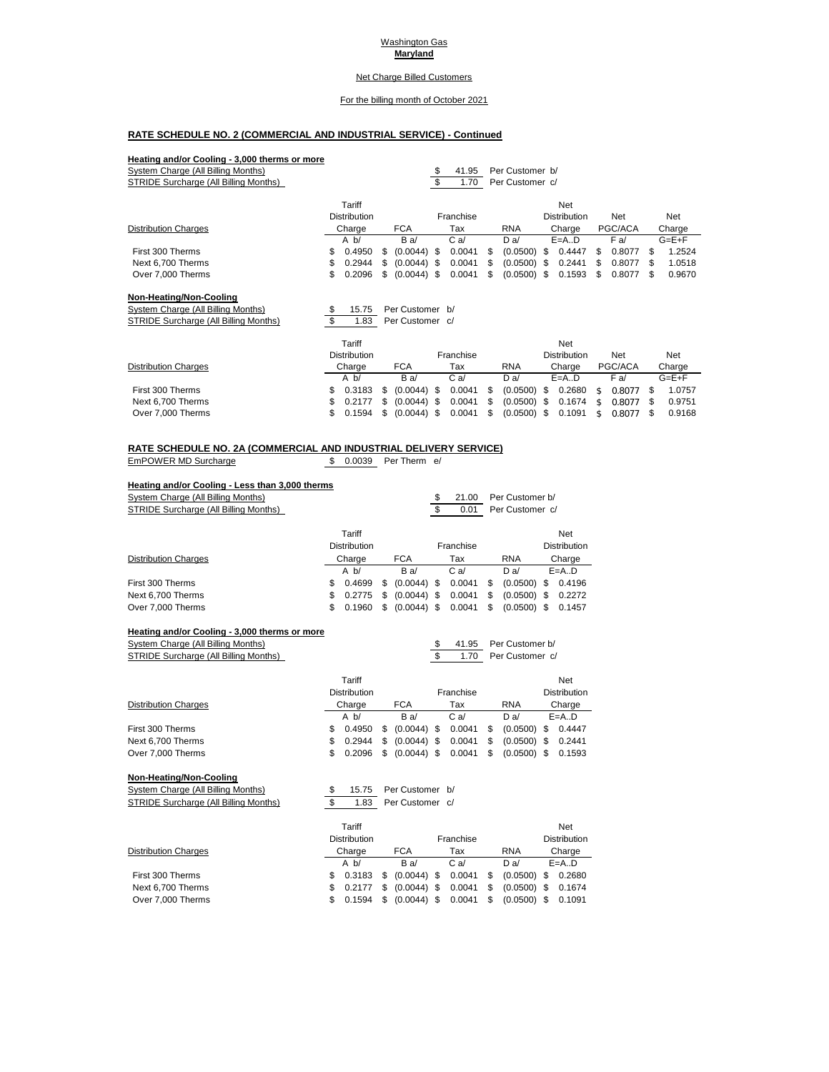#### Washington Gas **Maryland**

## Net Charge Billed Customers

#### For the billing month of October 2021

## **RATE SCHEDULE NO. 2 (COMMERCIAL AND INDUSTRIAL SERVICE) - Continued**

| Heating and/or Cooling - 3,000 therms or more |                     |    |                 |      |           |   |                 |      |                     |    |         |              |
|-----------------------------------------------|---------------------|----|-----------------|------|-----------|---|-----------------|------|---------------------|----|---------|--------------|
| System Charge (All Billing Months)            |                     |    |                 | \$   | 41.95     |   | Per Customer b/ |      |                     |    |         |              |
| STRIDE Surcharge (All Billing Months)         |                     |    |                 | \$   | 1.70      |   | Per Customer c/ |      |                     |    |         |              |
|                                               | Tariff              |    |                 |      |           |   |                 |      | <b>Net</b>          |    |         |              |
|                                               | Distribution        |    |                 |      | Franchise |   |                 |      | <b>Distribution</b> |    | Net     | Net          |
| <b>Distribution Charges</b>                   | Charge              |    | <b>FCA</b>      |      | Tax       |   | <b>RNA</b>      |      | Charge              |    | PGC/ACA | Charge       |
|                                               | A <sub>b</sub>      |    | Ba/             |      | Ca/       |   | D a/            |      | $E=A.D$             |    | F a/    | $G = E + F$  |
| First 300 Therms                              | \$<br>0.4950        | S. | $(0.0044)$ \$   |      | 0.0041    | S | (0.0500)        | - \$ | 0.4447              | S  | 0.8077  | \$<br>1.2524 |
| Next 6,700 Therms                             | \$<br>0.2944        | \$ | (0.0044)        | - \$ | 0.0041    |   | (0.0500)        | \$.  | 0.2441              |    | 0.8077  | \$<br>1.0518 |
| Over 7,000 Therms                             | \$<br>0.2096        | \$ | (0.0044)        | \$.  | 0.0041    | S | (0.0500)        | \$.  | 0.1593              | S  | 0.8077  | \$<br>0.9670 |
| Non-Heating/Non-Cooling                       |                     |    |                 |      |           |   |                 |      |                     |    |         |              |
| System Charge (All Billing Months)            | \$<br>15.75         |    | Per Customer b/ |      |           |   |                 |      |                     |    |         |              |
| STRIDE Surcharge (All Billing Months)         | \$<br>1.83          |    | Per Customer c/ |      |           |   |                 |      |                     |    |         |              |
|                                               | Tariff              |    |                 |      |           |   |                 |      | <b>Net</b>          |    |         |              |
|                                               | <b>Distribution</b> |    |                 |      | Franchise |   |                 |      | <b>Distribution</b> |    | Net     | Net          |
| <b>Distribution Charges</b>                   | Charge              |    | <b>FCA</b>      |      | Tax       |   | <b>RNA</b>      |      | Charge              |    | PGC/ACA | Charge       |
|                                               | A <sub>b</sub>      |    | Ba/             |      | Ca/       |   | D a             |      | $E=A.D$             |    | F a/    | $G = E + F$  |
| First 300 Therms                              | \$<br>0.3183        | S  | (0.0044)        | - \$ | 0.0041    | S | (0.0500)        | \$   | 0.2680              | \$ | 0.8077  | \$<br>1.0757 |
| Next 6,700 Therms                             | \$<br>0.2177        | S  | (0.0044)        | \$.  | 0.0041    |   | (0.0500)        | \$   | 0.1674              | \$ | 0.8077  | \$<br>0.9751 |

Over 7,000 Therms \$ 0.1594 \$ (0.0044) \$ 0.0041 \$ (0.0500) \$ 0.1091 \$ 0.8077 \$ 0.9168

| <b>RATE SCHEDULE NO. 2A (COMMERCIAL AND INDUSTRIAL DELIVERY SERVICE)</b> |                        |  |  |
|--------------------------------------------------------------------------|------------------------|--|--|
| EmPOWER MD Surcharge                                                     | \$ 0.0039 Per Therm e/ |  |  |

#### **Heating and/or Cooling - Less than 3,000 therms**

| System Charge (All Billing Months)    |     |                     |    |               | S | 21.00          | Per Customer b/     |                     |
|---------------------------------------|-----|---------------------|----|---------------|---|----------------|---------------------|---------------------|
| STRIDE Surcharge (All Billing Months) |     |                     |    |               |   | 0.01           | Per Customer c/     |                     |
|                                       |     | Tariff              |    |               |   |                |                     | Net                 |
|                                       |     | <b>Distribution</b> |    |               |   | Franchise      |                     | <b>Distribution</b> |
| <b>Distribution Charges</b>           |     | Charge              |    | <b>FCA</b>    |   | Tax            | <b>RNA</b>          | Charge              |
|                                       |     | A <sub>b</sub>      |    | Ba/           |   | C <sub>a</sub> | Da/                 | $E=A.D$             |
| First 300 Therms                      | S   | 0.4699              | S  | $(0.0044)$ \$ |   | 0.0041         | \$<br>$(0.0500)$ \$ | 0.4196              |
| Next 6,700 Therms                     | \$  | 0.2775              | S. | $(0.0044)$ \$ |   | 0.0041         | \$<br>$(0.0500)$ \$ | 0.2272              |
| Over 7,000 Therms                     | \$. | 0.1960              | S  | $(0.0044)$ \$ |   | 0.0041         | \$<br>$(0.0500)$ \$ | 0.1457              |

#### **Heating and/or Cooling - 3,000 therms or more**

| System Charge (All Billing Months)    |     |                     |     |               | \$ | 41.95          |    | Per Customer b/ |     |                     |
|---------------------------------------|-----|---------------------|-----|---------------|----|----------------|----|-----------------|-----|---------------------|
| STRIDE Surcharge (All Billing Months) |     |                     |     |               | S  | 1.70           |    | Per Customer c/ |     |                     |
|                                       |     | Tariff              |     |               |    |                |    |                 |     | Net                 |
|                                       |     | <b>Distribution</b> |     |               |    | Franchise      |    |                 |     | <b>Distribution</b> |
| <b>Distribution Charges</b>           |     | Charge              |     | <b>FCA</b>    |    | Tax            |    | <b>RNA</b>      |     | Charge              |
|                                       |     | A <sub>b</sub>      |     | Ba/           |    | C <sub>a</sub> |    | Da/             |     | $E=A.D$             |
| First 300 Therms                      | S.  | 0.4950              | \$. | $(0.0044)$ \$ |    | 0.0041         | S  | (0.0500)        | \$. | 0.4447              |
| Next 6,700 Therms                     | \$  | 0.2944              | \$. | $(0.0044)$ \$ |    | 0.0041         | \$ | (0.0500)        | \$  | 0.2441              |
| Over 7,000 Therms                     | \$. | 0.2096              | S   | $(0.0044)$ \$ |    | 0.0041         | \$ | (0.0500)        | \$. | 0.1593              |

#### **Non-Heating/Non-Cooling**

System Charge (All Billing Months)<br>
System Charge (All Billing Months)<br>
STRIDE Surcharge (All Billing Months)<br>
Strip 1.83 Per Customer c/ <u>Staten Griange (All Billing Months) لا 1.83 Persisting Curcharge (All Billing Months)</u>

| 1.83 | Per Customer c |  |
|------|----------------|--|
|      |                |  |

|                             |    | Tariff              |     |                      |           |    |               |     | <b>Net</b>          |
|-----------------------------|----|---------------------|-----|----------------------|-----------|----|---------------|-----|---------------------|
|                             |    | <b>Distribution</b> |     |                      | Franchise |    |               |     | <b>Distribution</b> |
| <b>Distribution Charges</b> |    | Charge              |     | <b>FCA</b>           | Tax       |    | <b>RNA</b>    |     | Charge              |
|                             |    | A <sub>b</sub>      |     | Ba/                  | Ca/       |    | Da/           |     | $E=A.D$             |
| First 300 Therms            |    | \$0.3183            | \$. | $(0.0044)$ \$ 0.0041 |           | \$ | $(0.0500)$ \$ |     | 0.2680              |
| Next 6,700 Therms           |    | \$0.2177            | \$. | $(0.0044)$ \$ 0.0041 |           | S. | $(0.0500)$ \$ |     | 0.1674              |
| Over 7,000 Therms           | S. | 0.1594              | \$. | $(0.0044)$ \$ 0.0041 |           | \$ | (0.0500)      | \$. | 0.1091              |